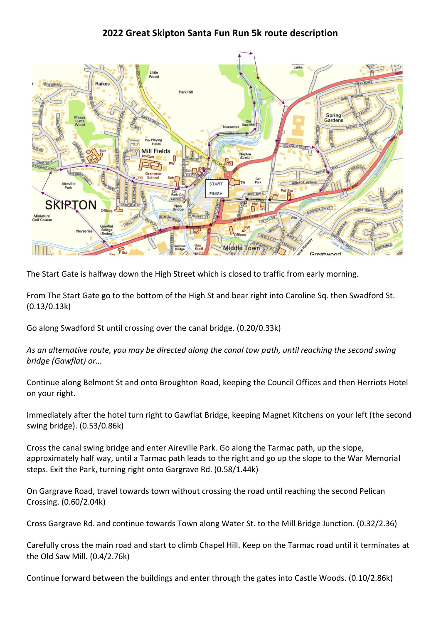## **2022 Great Skipton Santa Fun Run 5k route description**



The Start Gate is halfway down the High Street which is closed to traffic from early morning.

From The Start Gate go to the bottom of the High St and bear right into Caroline Sq. then Swadford St. (0.13/0.13k)

Go along Swadford St until crossing over the canal bridge. (0.20/0.33k)

*As an alternative route, you may be directed along the canal tow path, until reaching the second swing bridge (Gawflat) or...*

Continue along Belmont St and onto Broughton Road, keeping the Council Offices and then Herriots Hotel on your right.

Immediately after the hotel turn right to Gawflat Bridge, keeping Magnet Kitchens on your left (the second swing bridge). (0.53/0.86k)

Cross the canal swing bridge and enter Aireville Park. Go along the Tarmac path, up the slope, approximately half way, until a Tarmac path leads to the right and go up the slope to the War Memorial steps. Exit the Park, turning right onto Gargrave Rd. (0.58/1.44k)

On Gargrave Road, travel towards town without crossing the road until reaching the second Pelican Crossing. (0.60/2.04k)

Cross Gargrave Rd. and continue towards Town along Water St. to the Mill Bridge Junction. (0.32/2.36)

Carefully cross the main road and start to climb Chapel Hill. Keep on the Tarmac road until it terminates at the Old Saw Mill. (0.4/2.76k)

Continue forward between the buildings and enter through the gates into Castle Woods. (0.10/2.86k)